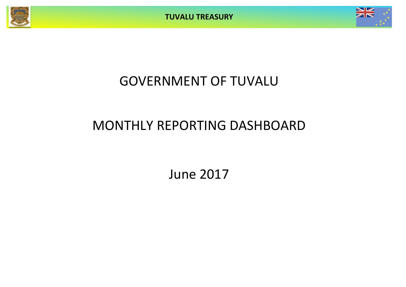**TUVALU TREASURY**



# GOVERNMENT OF TUVALU

# MONTHLY REPORTING DASHBOARD

June 2017

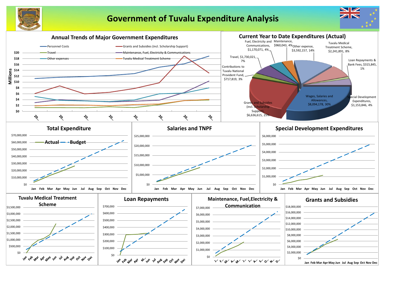

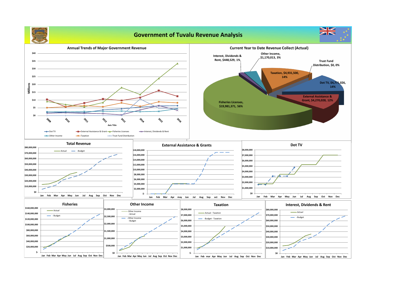# **Government of Tuvalu Revenue Analysis**

**Jan Feb Mar Apr May Jun Jul Aug Sep Oct Nov Dec**



 **\$-**

**Annual Trends of Major Government Revenue \$40 \$35 \$30 \$25 \$20**<br><u>III</u><br>Millissa **\$15 \$10 \$5 \$0 POLO PD 2017 POLIC 2016** 2010 रे०१९ FO. **Axis Title -** Dot TV **EXternal Assistance & Grant Fisheries Licenses** → Interest, Dividends & Rent → Other Income → Taxation → Trust Fund Distribution **Total Revenue External Assistance & Grants \$80,000,000 \$18,000,000** Actual **Budget \$70,000,000 \$16,000,000 \$60,000,000 \$14,000,000 \$50,000,000 \$12,000,000 \$10,000,000 \$40,000,000 \$8,000,000 \$30,000,000 \$6,000,000 \$20,000,000 \$4,000,000 \$10,000,000 \$2,000,000 \$0 \$- Jan Feb Mar Apr May Jun Jul Aug Sep Oct Nov Dec Jan Feb Mar Apr may Jun Jul Aug Sep oct Nov Dec Other Income Fisheries \$160,000,000 \$3,000,000 \$8,000,000 Actual** Other Income  **\$140,000,000** - Actual  **\$7,000,000** Budget **\$2,500,000 Cother Income \$120,000,000 \$6,000,000** - Budget **\$2,000,000 \$100,000,000 \$5,000,000 \$80,000,000 \$1,500,000 \$4,000,000 \$60,000,000 \$3,000,000 \$1,000,000 \$40,000,000 \$2,000,000 \$500,000 \$20,000,000 \$1,000,000 \$-**

**\$0**

**Jan Feb Mar Apr May Jun Jul Aug Sep Oct Nov Dec**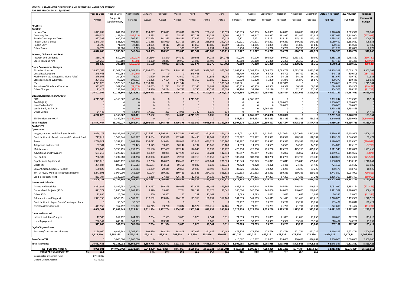### **MONTHLY STATEMENT OF RECEIPTS AND PAYENTS BY NATURE OF EXPENSE FOR THE PERIOD ENDED 6/30/2017**

|                                                                        | <b>Year to Date</b>  | Year to Date           | Year to Date             | January             | February            | March               | April                    | May                | June                | July               | August               | September            | October              | November           | December            | <b>Actual + Forecast</b> | 2017 Budget             | Variance             |
|------------------------------------------------------------------------|----------------------|------------------------|--------------------------|---------------------|---------------------|---------------------|--------------------------|--------------------|---------------------|--------------------|----------------------|----------------------|----------------------|--------------------|---------------------|--------------------------|-------------------------|----------------------|
|                                                                        | Actual               | Budget &               | Variance                 | Actual              | Actual              | Actual              | Actual                   | Actual             | Actual              | Forecast           | Forecast             | Forecast             | Forecast             | Forecast           | Forecast            | <b>Full Year</b>         | <b>Full Year</b>        | Forecast &           |
|                                                                        |                      | Supplementary          |                          |                     |                     |                     |                          |                    |                     |                    |                      |                      |                      |                    |                     |                          |                         | <b>Budget</b>        |
| <b>RECEIPTS</b>                                                        |                      |                        |                          |                     |                     |                     |                          |                    |                     |                    |                      |                      |                      |                    |                     |                          |                         |                      |
| Taxation                                                               |                      | 844,998                |                          |                     |                     |                     |                          |                    |                     |                    |                      | 140,833              |                      |                    |                     |                          |                         | 230,701              |
| Income Tax<br>Company Tax                                              | 1,075,699<br>629,574 | 1,157,502              | 230,701<br>(527, 928)    | 194,047<br>5,583    | 159,011<br>1,641    | 193,831<br>75,342   | 128,777<br>527,257       | 206,455<br>10,252  | 193,579<br>9,500    | 140,833<br>192,917 | 140,833<br>192,917   | 192,917              | 140,833<br>192,917   | 140,833<br>192,917 | 140,833<br>192,917  | 1,920,697<br>1,787,076   | 1,689,996<br>2,315,004  | (527, 928)           |
| <b>Tuvalu Consumption Taxes</b>                                        | 897,598              | 690,726                | 206,872                  | 170,934             | 161,323             | 189,341             | 97,896                   | 150,690            | 127,414             | 115,121            | 115,121              | 115,121              | 115,121              | 115,121            | 115,121             | 1,588,324                | 1,381,452               | 206,872              |
| Import Duty & Excise                                                   | 1,248,164            | 841,326                | 406,838                  | 270,438             | 135,020             | 223,713             | 130,715                  | 255,863            | 232,414             | 140,221            | 140,221              | 140,221              | 140,221              | 140,221            | 140,221             | 2,089,490                | 1,682,652               | 406,838              |
| Import Levy                                                            | 98,795               | 71,310                 | 27,485                   | 23,005              | 8,113               | 20,118              | 11,866                   | 19,885             | 15,807              | 11,885             | 11,885               | 11,885               | 11,885               | 11,885             | 11,885              | 170,105                  | 142,620                 | 27,485               |
| <b>Other Taxes</b>                                                     | 96,779<br>4,046,608  | 94,500<br>3,700,362    | 2,279<br>346,246         | 4,896<br>668,903    | 3,273<br>468,381    | 1,500<br>703,845    | 83,076<br>979,587        | 2,634<br>645,780   | 1,400<br>580,113    | 15,750<br>616,727  | 15,750<br>616,727    | 15,750<br>616,727    | 15,750<br>616,727    | 15,750<br>616,727  | 15,750<br>616,727   | 191,279<br>7,746,970     | 189,000<br>7,400,724    | 2,279<br>346,246     |
| Interest, Dividends and Rent                                           |                      |                        |                          |                     |                     |                     |                          |                    |                     |                    |                      |                      |                      |                    |                     |                          |                         |                      |
| <b>Interest and Dividends</b>                                          | 319,273              | 550,000                | (230, 727)               | (24, 530)           | 38,240              | 144,360             | 160,691                  | 54,785             | (54, 273)           | 50,000             | 50,000               | 300,000              | 50,000               | 1,433,862          | 50,000              | 2,253,135                | 2,483,862               | (230, 727)           |
| Lease, rent and hire                                                   | 129,256              | 158,160                | (28, 904)                | 40,100              | 10,843              | 19,963              | 21,983                   | 35,490             | 878                 | 26,360             | 26,360               | 26,360               | 26,360               | 26,360             | 26,360              | 287,416                  | 316,320                 | (28, 904)            |
| <b>Other Government Charges</b>                                        | 448,529              | 708,160                | (259, 631)               | 15,570              | 49,083              | 164,323             | 182,674                  | 90,275             | (53, 395)           | 76,360             | 76,360               | 326,360              | 76,360               | 1,460,222          | 76,360              | 2,540,551                | 2,800,182               | (259, 631)           |
| <b>Fisheries Licenses</b>                                              | 20,865,763           | 12,502,554             | 8,363,209                | 10,794,655          | 702,706             | 1,848,187           | 617,963                  | 5,938,746          | 963,507             | 2,083,759          | 2,083,759            | 2,083,759            | 2,083,759            | 2,083,759          | 2,083,759           | 33,368,317               | 25,005,108              | 8,363,209            |
| <b>Vessel Registrations</b>                                            | 245,461              | 400,254                | (154, 793)               |                     | $\Omega$            | $\Omega$            | 245,461                  | $\overline{0}$     | $\mathbf 0$         | 66,709             | 66,709               | 66,709               | 66,709               | 66,709             | 66,709              | 645,715                  | 800,508                 | (154, 793)           |
| Marine Services (Nivaga II & Manu Folau)                               | 276,801              | 204,876                | 71,925                   | 70,629              | 30,214              | 42,602              | 43,254                   | 61,851             | 28,250              | 34,146             | 34,146               | 34,146               | 34,146               | 34,146             | 34,146              | 481,677                  | 409,752                 | 71,925               |
| Stevedoring and Wharfage<br>.TV                                        | 204,153<br>4,771,026 | 95,220<br>3,525,642    | 108,933<br>1,245,384     | 31,296<br>1,639,342 | 37,154<br>$\Omega$  | 37,930<br>1,551,344 | 48,162<br>$\overline{0}$ | 31,686<br>$\Omega$ | 17,925<br>1,580,340 | 15,870<br>,762,821 | 15,870<br>- 0        | 15,870<br>0          | 15,870<br>1,762,821  | 15,870<br>- 0      | 15,870              | 299,373<br>8,296,668     | 190,440<br>7,051,284    | 108,933<br>1,245,384 |
| Provision of Goods and Services                                        | 332,675              | 362,154                | (29, 479)                | 39,665              | 31,711              | 29,270              | 47,145                   | 156,682            | 28,202              | 60,359             | 60,359               | 60,359               | 60,359               | 60,359             | 60,359              | 694,829                  | 724,308                 | (29, 479)            |
| <b>Other Charges</b>                                                   | 111,423              | 193,140                | (81, 717)                | 24,336              | 26,284              | 14,781              | 9,735                    | 12,594             | 23,693              | 32,190             | 32,190               | 32,190               | 32,190               | 32,190             | 32,190              | 304,563                  | 386,280                 | (81, 717)            |
|                                                                        | 26,807,302           | 17,283,840             | 9,523,462                | 12,599,923          | 828,070             | 3,524,114           | 1,011,720                | 6,201,559          | 2,641,916           | 4,055,854          | 2,293,033            | 2,293,033            | 4,055,854            | 2,293,033          | 2,293,033           | 44,091,142               | 34,567,680              | 9,523,462            |
| <b>External Assistance and Grants</b><br><b>ROC</b>                    | 4,215,580            | 4,166,667              | 48,914                   |                     |                     |                     | 4,215,580                |                    |                     |                    | ,166,667             | 0                    |                      |                    |                     | 8,382,247                | 8,333,333               | 48,914               |
| AusAID (CIF)                                                           |                      |                        |                          |                     |                     |                     | $\Omega$                 |                    |                     |                    |                      |                      | 1,500,000            |                    |                     | 1,500,000                | 1,500,000               |                      |
| New Zealand (CIF)                                                      |                      |                        |                          |                     |                     |                     | $\overline{0}$           |                    |                     |                    |                      |                      | 500,000              |                    |                     | 500,000                  | 500,000                 |                      |
| World Bank, IMF, ADB                                                   |                      |                        |                          |                     | $\Omega$            |                     | $\Omega$                 | $\Omega$           | $\theta$            |                    |                      | 6,794,868            |                      |                    |                     | 6,794,868                | 6,794,868               |                      |
| <b>Other Donors</b>                                                    | 54,448               |                        | 54,448                   | 17,682              | 253                 | 24,095              | 3,749                    | 8,036              | 634                 |                    |                      | ∩                    |                      | $\mathbf{0}$       |                     | 54,448                   |                         | 54,448<br>103,361    |
| TTF Distribution to CIF                                                | 4,270,028            | 4,166,667<br>3,349,998 | 103,361<br>(3, 349, 998) | 17,682              | 253                 | 24,095              | 4,219,329<br>$\Omega$    | 8,036<br>$\Omega$  | 634                 | 0<br>558,333       | 4,166,667<br>558,333 | 6,794,868<br>558,333 | 2,000,000<br>558,333 | 558,333            | 558,333             | 17,231,562<br>3,349,998  | 17,128,201<br>6,699,996 | (3,349,998)          |
| <b>Total Receipts</b>                                                  | 35,572,467           | 29,209,027             | 6,363,441                | 13,302,078          | 1,345,786           | 4,416,376           | 6,393,309                | 6,945,648          | 3,169,269           | 5,307,274          | 7,711,120            | 10,589,321           | 7,307,274            | 4,928,315          | 3,544,453           | 74,960,224               | 68,596,783              | 6,363,441            |
| <b>PAYMENTS</b>                                                        |                      |                        |                          |                     |                     |                     |                          |                    |                     |                    |                      |                      |                      |                    |                     |                          |                         |                      |
| <b>Operations</b>                                                      |                      |                        |                          |                     |                     |                     |                          |                    |                     |                    |                      |                      |                      |                    |                     |                          |                         |                      |
| Wages, Salaries, and Employee Benefits                                 | 8,094,178            | 19,385,106             | 11,290,927               | 1,326,491           | 1,206,811           | 1,517,546           | 1,315,070                | 1,351,835          | 1,376,425           | 1,617,051          | 1,617,051            | 1,617,051            | 1,617,051            | 1,617,051          | 1,617,051           | 17,796,482               | 19,404,608              | 1,608,126            |
| <b>Contributions to Tuvalu National Provident Fund</b>                 | 717,819              | 1,563,546              | 845,727                  | 114,604             | 110,389             | 132,047             | 124,495                  | 118,047            | 118,237             | 128,382            | 128,382              | 128,382              | 128,382              | 128,382            | 128,382             | 1,488,109                | 1,540,580               | 52,471               |
| Travel                                                                 | 1,730,021            | 3,339,911              | 1,609,890                | 255,072             | 349,684             | 188,017             | 195,914                  | 436,228            | 305,107             | 239,997            | 239,997              | 239,997              | 239,997              | 239,997            | 239,997             | 3,170,003                | 2,879,965               | (290, 039)           |
| Telephone and Internet                                                 | 97,304               | 176,749                | 79,445                   | 13,579              | 39,093              | 10,247              | 8,137                    | 11,068             | 15,180              | 14,599             | 14,599               | 14,599               | 14,599               | 14,599             | 14,599              | 184,899                  | 175,189                 | (9,710)              |
| Maintenance                                                            | 960,043              | 5,753,795              | 4,793,753                | 76,186              | 172,407             | 167,244             | 146,843                  | 199,092            | 198,272             | 425,250            | 425,250              | 425,250              | 425,250              | 425,250            | 425,250             | 3,511,543                | 5,103,001               | 1,591,458            |
| <b>Advertising and Provisions</b>                                      | 583,212              | 1,225,121              | 641,909                  | 61,309              | 80,004              | 127,528             | 105,255                  | 66,281             | 142,834             | 96,057             | 96,057               | 96,057               | 96,057               | 96,057             | 96,057              | 1,159,553                | 1,152,682               | (6, 871)             |
| Fuel and Oil                                                           | 798,182              | 1,232,580              | 434,398                  | 130,906             | 174,005             | 79,916              | 120,718                  | 129,659            | 162,977             | 103,780            | 103,780              | 103,780              | 103,780              | 103,780            | 103,780             | 1,420,860                | 1,245,356               | (175, 504)           |
| Supplies and Equipment                                                 | 1,975,016            | 6,680,132              | 4,705,116                | 27,206              | 104,065             | 410,460             | 459,718                  | 696,644            | 276,924             | 535,843            | 535,843              | 535,843              | 535,843              | 535,843            | 535,843             | 5,190,07                 | 6,430,115               | 1,240,041            |
| Electricity                                                            | 274,584              | 890,147                | 615,563                  | (85, 935)           | 144,506             | 59,365              | 49,882                   | 5,029              | 101,738             | 74,428             | 74,428               | 74,428               | 74,428               | 74,428             | 74,428              | 721,155                  | 893,142                 | 171,986              |
| Senior Citizen Scheme / Pension                                        | 180,825              | 398,688                | 217,863                  | 31,899              | 29,449              | 29,869              | 29,589                   | 30,499             | 29,519              | 33,225             | 33,225               | 33,225               | 33,225               | 33,225             | 33,225              | 380,175                  | 398,700                 | 18,525               |
| <b>TMTS (Tuvalu Medical Treatment Scheme)</b>                          | 2,241,891            | 3,004,000              | 762,109                  | (40, 976)           | 659,231             | 350,483             | 151,846                  | 284,789            | 836,518             | 250,333            | 250,333              | 250,333              | 250,333              | 250,333            | 250,333             | 3,743,892                | 3,004,000               | (739, 891)           |
| Land & Property Rent                                                   | 853,104              | 1,149,619              | 296,515                  | 31,338              | 27,289              | 726,745             | 12,913                   | 34,325             | 20,494              | 97,201             | 97,201               | 97,201               | 97,201               | 97,201             | 97,201              | 1,436,307                | 1,166,407               | (269,900)            |
|                                                                        | 18,506,181           | 44,799,394             | 26,293,213               | 1,941,681           | 3,096,933           | 3,799,466           | 2,720,379                | 3,363,495          | 3,584,227           | 3,616,145          | 3,616,145            | 3,616,145            | 3,616,145            | 3,616,145          | 3,616,145           | 40,203,053               | 43,393,745              | 3,190,692            |
| <b>Grants and Subsidies</b>                                            |                      |                        |                          |                     |                     |                     |                          |                    |                     |                    |                      |                      |                      |                    |                     |                          |                         |                      |
| <b>Grants and Subsidies</b>                                            | 3,351,937            | 5,399,953              | 2,048,015                | 822,167             | 849,295             | 489,955             | 492,477                  | 338,148            | 359,896             | 446,514            | 446,514              | 446,514              | 446,514              | 446,514            | 446,514             | 6,031,020                | 5,358,164               | (672, 855)           |
| Outer Island Projects (SDE)                                            | 871,577              | 2,880,000              | 2,008,423                | 5,870               | 39,093              | 7,764               | 728,139                  | 43,170             | 47,542              | 240,000            | 240,000              | 240,000              | 240,000              | 240,000            | 240,000             | 2,311,577                | 2,880,000               | 568,423              |
| Other SDEs                                                             | 23,886               | 25,000                 | 1,114                    | 550                 | 10,862              | 20                  | 292                      | 12,162             | 0                   | 2,083              | 2,083                | 2,083                | 2,083                | 2,083              | 2,083               | 36,386                   | 25,000                  | (11, 386)            |
| Scholarships and Support                                               | 1,971,150            | 6,560,951              | 4,589,801                | 417,602             | 199,814             | 524,170             | 125,768                  | 186,637            | 517,160             | 541,613            | 541,613              | 541,613              | 541,613              | 541,613            | 541,613             | 5,220,825                | 6,499,350               | 1,278,525            |
| Contribution to Japan Grant Counterpart Fund                           |                      | 50,647                 | 50,647                   | $\Omega$            |                     |                     | $\Omega$                 | - 0                | $\Omega$            | 23,237             | 23,237               | 23,237               | 23,237               | 23,237             | 23,237              | 139,424                  | 278,847                 | 139,424              |
| <b>Overseas Contributions</b>                                          | 441,950              | 767,292                | 325,342                  | 65,745              | 73,700              | 33,032              | 18,572                   | 238,715            | 12,186              | 71,791             | 71,791               | 71,791               | 71,791               | 71,791             | 71,791              | 872,696                  | 861,492                 | (11, 204)            |
|                                                                        | 6,660,501            | 15,683,843             | 9,023,341                | 1,311,934           | 1,172,764           | 1,054,940           | 1,365,247                | 818,832            | 936,785             | 1,325,238          | 1,325,238            | 1,325,238            | 1,325,238            | 1,325,238          | 1,325,238           | 14,611,928               | 15,902,853              | 1,290,926            |
| Loans and Interest                                                     |                      |                        |                          |                     |                     |                     |                          |                    |                     |                    |                      |                      |                      |                    |                     |                          |                         |                      |
| <b>Interest and Bank Charges</b>                                       | 17,503               | 262,232                | 244,729                  | 2,734               | 2,583               | 3,603               | 3,028                    | 2,544              | 3,011               | 21,853             | 21,853               | 21,853               | 21,853               | 21,853             | 21,853              | 148,619                  | 262,232                 | 113,613              |
| Loan Repayment                                                         | 298,342<br>315,845   | 640,281<br>902,513     | 341,939<br>586,668       | 2,734               | 289,342<br>291,924  | $\Omega$<br>3,603   | $\Omega$<br>3,028        | 9,000<br>11,544    | $\Omega$<br>3,011   | 53,357<br>75,209   | 53,357<br>75,209     | 53,357<br>75,209     | 53,357<br>75,209     | 53,357<br>75,209   | 53,357<br>75,209    | 618,482<br>767,102       | 640,281<br>902,513      | 21,799<br>135,411    |
| <b>Capital Expenditures</b>                                            |                      |                        |                          |                     |                     |                     |                          |                    |                     |                    |                      |                      |                      |                    |                     |                          |                         |                      |
| Purchase/construction of assets                                        | 1,129,960            | 6,895,283              | 5,765,323                | 103,429             | 163,120             | 263,808             | 117,699                  | 251,456            | 230,448             | 472,726            | 472,726              | 472,726              | 472,726              | 472,726            | 472,726             | 3,966,315                | 5,672,711               | 1,706,396            |
|                                                                        | 1,129,960            | 6,895,283              | 5,765,323                | 103,429             | 163,120             | 263,808             | 117,699                  | 251,456            | 230,448             | 472,726            | 472,726              | 472,726              | 472,726              | 472,726            | 472,726             | 3,966,315                | 5,672,711               | 1,706,396            |
| <b>Transfer to TTF</b>                                                 |                      | 5,000,000              | 5,000,000                |                     |                     |                     | $\Omega$                 |                    |                     | 416,667            | 416,667              | 416,667              | 416,667              | 416,667            | 416,667             | 2,500,000                | 5,000,000               | 2,500,000            |
| <b>Total Payments</b>                                                  | 26,612,486           | 73,281,032             | 46,668,546               | 3,359,778           | 4,724,741           | 5,121,817           | 4,206,353                | 4,445,327          | 4,754,470           | 5,905,985          | 5,905,985            | 5,905,985            | 5,905,985            | 5,905,985          | 5,905,985           | 62,048,397               | 70,871,822              | 8,823,425            |
|                                                                        |                      |                        |                          |                     |                     |                     |                          |                    |                     |                    |                      |                      |                      |                    |                     |                          |                         |                      |
| <b>NET SURPLUS / (DEFICIT)</b><br>\$M<br><b>FORECAST CASH POSITION</b> | 8,959,981<br>33.1    | (44,072,006)           | 53.031.986               | 9.942.300<br>34.1   | (3,378,955)<br>30.7 | (705, 441)<br>30.0  | 2,186,956<br>32.2        | 2,500,321<br>34.7  | (1,585,201)<br>33.1 | (598, 711)<br>32.5 | 1,805,134<br>34.3    | 4,683,336<br>39.0    | 1,401,289<br>40.4    | (977, 670)<br>39.4 | (2,361,532)<br>37.0 | 12,911,826               | (2, 275, 039)           | 15,186,865           |
| <b>Consolidated Investment Fund</b>                                    | 27,740,812           |                        |                          |                     |                     |                     |                          |                    |                     |                    |                      |                      |                      |                    |                     |                          |                         |                      |
| <b>General Current Account</b>                                         | 5,345,208            |                        |                          |                     |                     |                     |                          |                    |                     |                    |                      |                      |                      |                    |                     |                          |                         |                      |
|                                                                        |                      |                        |                          |                     |                     |                     |                          |                    |                     |                    |                      |                      |                      |                    |                     |                          |                         |                      |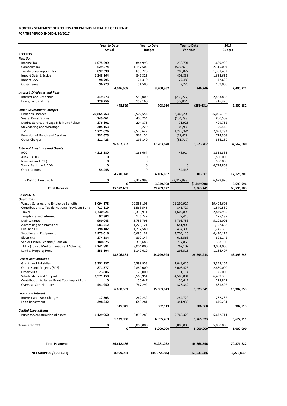| Purchase/construction of assets | 1,129,960 |            | 6,895,283 |              | 5,765,323 |            | 5,672,711 |               |
|---------------------------------|-----------|------------|-----------|--------------|-----------|------------|-----------|---------------|
|                                 |           | 1,129,960  |           | 6,895,283    |           | 5,765,323  |           | 5,672,711     |
| <b>Transfer to TTF</b>          |           |            | 5,000,000 |              | 5,000,000 |            | 5,000,000 |               |
|                                 |           |            |           | 5,000,000    |           | 5,000,000  |           | 5,000,000     |
|                                 |           |            |           |              |           |            |           |               |
| <b>Total Payments</b>           |           | 26,612,486 |           | 73,281,032   |           | 46,668,546 |           | 70,871,822    |
|                                 |           |            |           |              |           |            |           |               |
| NET SURPLUS / (DEFECIT)         |           | 8,959,981  |           | (44,072,006) |           | 53,031,986 |           | (2, 275, 039) |

|                                                 | <b>Year to Date</b> |            | <b>Year to Date</b> |            | <b>Year to Date</b> |             | 2017          |            |  |
|-------------------------------------------------|---------------------|------------|---------------------|------------|---------------------|-------------|---------------|------------|--|
|                                                 | <b>Actual</b>       |            | <b>Budget</b>       |            | Variance            |             | <b>Budget</b> |            |  |
| <b>RECEIPTS</b>                                 |                     |            |                     |            |                     |             |               |            |  |
| <b>Taxation</b>                                 |                     |            |                     |            |                     |             |               |            |  |
| Income Tax                                      | 1,075,699           |            | 844,998             |            | 230,701             |             | 1,689,996     |            |  |
| Company Tax                                     | 629,574             |            | 1,157,502           |            | (527, 928)          |             | 2,315,004     |            |  |
| <b>Tuvalu Consumption Tax</b>                   | 897,598             |            | 690,726             |            | 206,872             |             | 1,381,452     |            |  |
| Import Duty & Excise                            | 1,248,164           |            | 841,326             |            | 406,838             |             | 1,682,652     |            |  |
| Import Levy                                     | 98,795              |            | 71,310              |            | 27,485              |             | 142,620       |            |  |
| <b>Other Taxes</b>                              | 96,779              |            | 94,500              |            | 2,279               |             | 189,000       |            |  |
|                                                 |                     | 4,046,608  |                     | 3,700,362  |                     | 346,246     |               | 7,400,724  |  |
| <b>Interest, Dividends and Rent</b>             |                     |            |                     |            |                     |             |               |            |  |
| <b>Interest and Dividends</b>                   | 319,273             |            | 550,000             |            | (230, 727)          |             | 2,483,862     |            |  |
| Lease, rent and hire                            | 129,256             |            | 158,160             |            | (28, 904)           |             | 316,320       |            |  |
|                                                 |                     | 448,529    |                     | 708,160    |                     | (259, 631)  |               | 2,800,182  |  |
| <b>Other Government Charges</b>                 | 20,865,763          |            |                     |            |                     |             |               |            |  |
| <b>Fisheries Licenses</b>                       |                     |            | 12,502,554          |            | 8,363,209           |             | 25,005,108    |            |  |
| <b>Vessel Registrations</b>                     | 245,461             |            | 400,254             |            | (154, 793)          |             | 800,508       |            |  |
| Marine Services (Nivaga II & Manu Folau)        | 276,801             |            | 204,876             |            | 71,925              |             | 409,752       |            |  |
| Stevedoring and Wharfage                        | 204,153             |            | 95,220              |            | 108,933             |             | 190,440       |            |  |
| .TV                                             | 4,771,026           |            | 3,525,642           |            | 1,245,384           |             | 7,051,284     |            |  |
| Provision of Goods and Services                 | 332,675             |            | 362,154             |            | (29, 479)           |             | 724,308       |            |  |
| <b>Other Charges</b>                            | 111,423             |            | 193,140             |            | (81, 717)           |             | 386,280       |            |  |
| <b>External Assistance and Grants</b>           |                     | 26,807,302 |                     | 17,283,840 |                     | 9,523,462   |               | 34,567,680 |  |
| <b>ROC</b>                                      | 4,215,580           |            | 4,166,667           |            | 48,914              |             | 8,333,333     |            |  |
| AusAID (CIF)                                    | 0                   |            | 0                   |            | 0                   |             | 1,500,000     |            |  |
| New Zealand (CIF)                               | 0                   |            | 0                   |            | 0                   |             | 500,000       |            |  |
| World Bank, IMF, ADB                            | 0                   |            | 0                   |            | $\Omega$            |             | 6,794,868     |            |  |
| <b>Other Donors</b>                             | 54,448              |            | 0                   |            | 54,448              |             | 0             |            |  |
|                                                 |                     | 4,270,028  |                     | 4,166,667  |                     | 103,361     |               | 17,128,201 |  |
|                                                 |                     |            |                     |            |                     |             |               |            |  |
| TTF Distribution to CIF                         | 0                   | 0          | 3,349,998           | 3,349,998  | (3,349,998)         | (3,349,998) | 6,699,996     | 6,699,996  |  |
| <b>Total Receipts</b>                           |                     | 35,572,467 |                     | 29,209,027 |                     | 6,363,441   |               | 68,596,783 |  |
|                                                 |                     |            |                     |            |                     |             |               |            |  |
| <b>PAYMENTS</b>                                 |                     |            |                     |            |                     |             |               |            |  |
| <b>Operations</b>                               |                     |            |                     |            |                     |             |               |            |  |
| Wages, Salaries, and Employee Benefits          | 8,094,178           |            | 19,385,106          |            | 11,290,927          |             | 19,404,608    |            |  |
| Contributions to Tuvalu National Provident Fund | 717,819             |            | 1,563,546           |            | 845,727             |             | 1,540,580     |            |  |
| Travel                                          | 1,730,021           |            | 3,339,911           |            | 1,609,890           |             | 2,879,965     |            |  |
| Telephone and Internet                          | 97,304              |            | 176,749             |            | 79,445              |             | 175,189       |            |  |
| Maintenance                                     | 960,043             |            | 5,753,795           |            | 4,793,753           |             | 5,103,001     |            |  |
| <b>Advertising and Provisions</b>               | 583,212             |            | 1,225,121           |            | 641,909             |             | 1,152,682     |            |  |
| Fuel and Oil                                    | 798,182             |            | 1,232,580           |            | 434,398             |             | 1,245,356     |            |  |
| Supplies and Equipment                          | 1,975,016           |            | 6,680,132           |            | 4,705,116           |             | 6,430,115     |            |  |
| Electricity                                     | 274,584             |            | 890,147             |            | 615,563             |             | 893,142       |            |  |
| Senior Citizen Scheme / Pension                 | 180,825             |            | 398,688             |            | 217,863             |             | 398,700       |            |  |
| <b>TMTS (Tuvalu Medical Treatment Scheme)</b>   |                     |            |                     |            |                     |             |               |            |  |
|                                                 | 2,241,891           |            | 3,004,000           |            | 762,109             |             | 3,004,000     |            |  |
| Land & Property Rent                            | 853,104             |            | 1,149,619           |            | 296,515             |             | 1,166,407     |            |  |
|                                                 |                     | 18,506,181 |                     | 44,799,394 |                     | 26,293,213  |               | 43,393,745 |  |
| <b>Grants and Subsidies</b>                     |                     |            |                     |            |                     |             |               |            |  |
| <b>Grants and Subsidies</b>                     | 3,351,937           |            | 5,399,953           |            | 2,048,015           |             | 5,358,164     |            |  |
| Outer Island Projects (SDE)                     | 871,577             |            | 2,880,000           |            | 2,008,423           |             | 2,880,000     |            |  |
| Other SDEs                                      | 23,886              |            | 25,000              |            | 1,114               |             | 25,000        |            |  |
| Scholarships and Support                        | 1,971,150           |            | 6,560,951           |            | 4,589,801           |             | 6,499,350     |            |  |
| Contribution to Japan Grant Counterpart Fund    | 0                   |            | 50,647              |            | 50,647              |             | 278,847       |            |  |
| <b>Overseas Contributions</b>                   | 441,950             |            | 767,292             |            | 325,342             |             | 861,492       |            |  |
|                                                 |                     | 6,660,501  |                     | 15,683,843 |                     | 9,023,341   |               | 15,902,853 |  |
| <b>Loans and Interest</b>                       |                     |            |                     |            |                     |             |               |            |  |
| Interest and Bank Charges                       | 17,503              |            | 262,232             |            | 244,729             |             | 262,232       |            |  |
| Loan Repayment                                  | 298,342             |            | 640,281             |            | 341,939             |             | 640,281       |            |  |
| <b>Capital Expenditures</b>                     |                     | 315,845    |                     | 902,513    |                     | 586,668     |               | 902,513    |  |

## **MONTHLY STATEMENT OF RECEIPTS AND PAYENTS BY NATURE OF EXPENSE FOR THE PERIOD ENDED 6/30/2017**